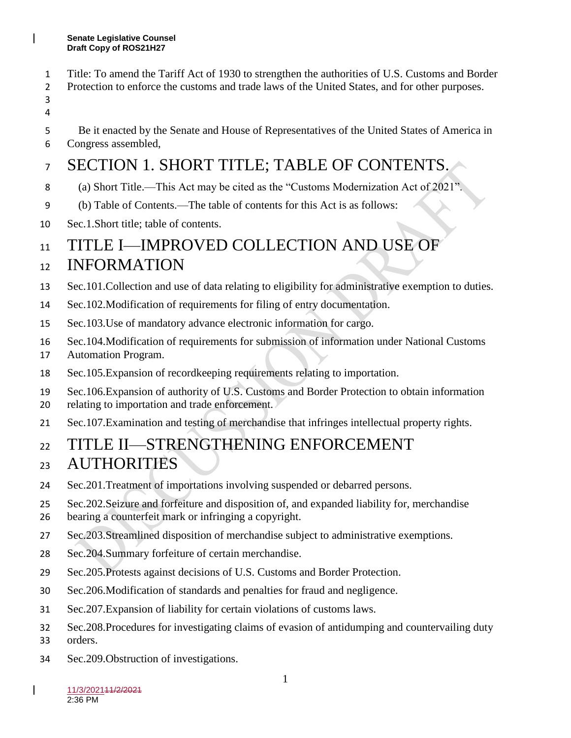- Title: To amend the Tariff Act of 1930 to strengthen the authorities of U.S. Customs and Border
- Protection to enforce the customs and trade laws of the United States, and for other purposes.
- 
- Be it enacted by the Senate and House of Representatives of the United States of America in
- Congress assembled,

## SECTION 1. SHORT TITLE; TABLE OF CONTENTS.

- (a) Short Title.—This Act may be cited as the "Customs Modernization Act of 2021".
- (b) Table of Contents.—The table of contents for this Act is as follows:
- Sec.1.Short title; table of contents.

### 11 TITLE I—IMPROVED COLLECTION AND USE OF

### INFORMATION

- Sec.101.Collection and use of data relating to eligibility for administrative exemption to duties.
- Sec.102.Modification of requirements for filing of entry documentation.
- Sec.103.Use of mandatory advance electronic information for cargo.
- Sec.104.Modification of requirements for submission of information under National Customs
- Automation Program.
- Sec.105.Expansion of recordkeeping requirements relating to importation.
- Sec.106.Expansion of authority of U.S. Customs and Border Protection to obtain information
- relating to importation and trade enforcement.
- Sec.107.Examination and testing of merchandise that infringes intellectual property rights.

### TITLE II—STRENGTHENING ENFORCEMENT AUTHORITIES

- Sec.201.Treatment of importations involving suspended or debarred persons.
- Sec.202.Seizure and forfeiture and disposition of, and expanded liability for, merchandise
- bearing a counterfeit mark or infringing a copyright.
- Sec.203.Streamlined disposition of merchandise subject to administrative exemptions.
- Sec.204.Summary forfeiture of certain merchandise.
- Sec.205.Protests against decisions of U.S. Customs and Border Protection.
- Sec.206.Modification of standards and penalties for fraud and negligence.
- Sec.207.Expansion of liability for certain violations of customs laws.
- Sec.208.Procedures for investigating claims of evasion of antidumping and countervailing duty
- orders.
- Sec.209.Obstruction of investigations.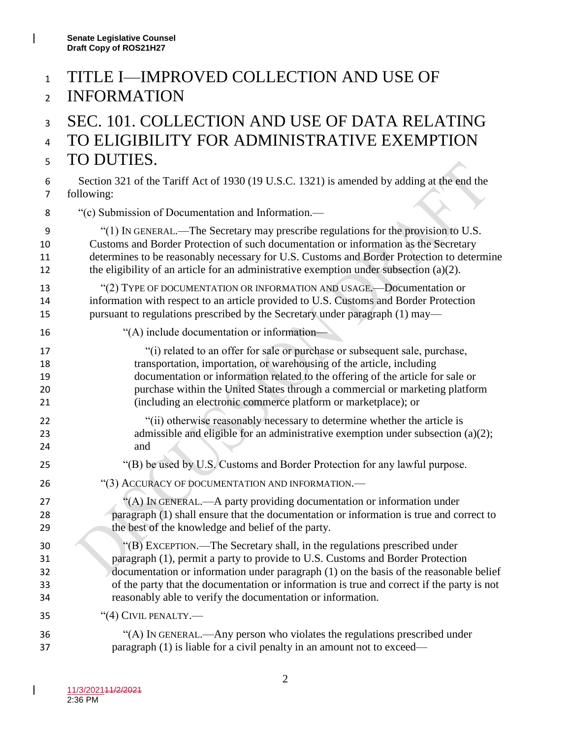### TITLE I—IMPROVED COLLECTION AND USE OF INFORMATION

### SEC. 101. COLLECTION AND USE OF DATA RELATING TO ELIGIBILITY FOR ADMINISTRATIVE EXEMPTION TO DUTIES.

- Section 321 of the Tariff Act of 1930 (19 U.S.C. 1321) is amended by adding at the end the following:
- "(c) Submission of Documentation and Information.—

 "(1) IN GENERAL.—The Secretary may prescribe regulations for the provision to U.S. Customs and Border Protection of such documentation or information as the Secretary determines to be reasonably necessary for U.S. Customs and Border Protection to determine 12 the eligibility of an article for an administrative exemption under subsection  $(a)(2)$ .

 "(2) TYPE OF DOCUMENTATION OR INFORMATION AND USAGE.—Documentation or information with respect to an article provided to U.S. Customs and Border Protection pursuant to regulations prescribed by the Secretary under paragraph (1) may—

- "(A) include documentation or information—
- "(i) related to an offer for sale or purchase or subsequent sale, purchase, transportation, importation, or warehousing of the article, including documentation or information related to the offering of the article for sale or purchase within the United States through a commercial or marketing platform (including an electronic commerce platform or marketplace); or 22 "(ii) otherwise reasonably necessary to determine whether the article is 23 admissible and eligible for an administrative exemption under subsection (a)(2);
- "(B) be used by U.S. Customs and Border Protection for any lawful purpose.
- 26 "(3) ACCURACY OF DOCUMENTATION AND INFORMATION.
- 27 "(A) IN GENERAL.—A party providing documentation or information under paragraph (1) shall ensure that the documentation or information is true and correct to 29 the best of the knowledge and belief of the party.
- "(B) EXCEPTION.—The Secretary shall, in the regulations prescribed under paragraph (1), permit a party to provide to U.S. Customs and Border Protection documentation or information under paragraph (1) on the basis of the reasonable belief of the party that the documentation or information is true and correct if the party is not reasonably able to verify the documentation or information.
- "(4) CIVIL PENALTY.—
- "(A) IN GENERAL.—Any person who violates the regulations prescribed under paragraph (1) is liable for a civil penalty in an amount not to exceed—

and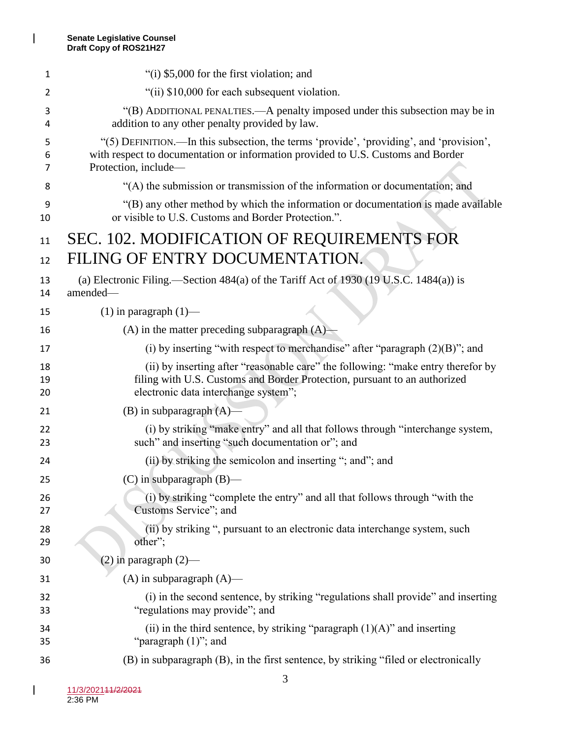| 1              | "(i) \$5,000 for the first violation; and                                                                                                                                                             |
|----------------|-------------------------------------------------------------------------------------------------------------------------------------------------------------------------------------------------------|
| 2              | "(ii) \$10,000 for each subsequent violation.                                                                                                                                                         |
| з<br>4         | "(B) ADDITIONAL PENALTIES.—A penalty imposed under this subsection may be in<br>addition to any other penalty provided by law.                                                                        |
| 5<br>6<br>7    | "(5) DEFINITION.—In this subsection, the terms 'provide', 'providing', and 'provision',<br>with respect to documentation or information provided to U.S. Customs and Border<br>Protection, include-   |
| 8              | "(A) the submission or transmission of the information or documentation; and                                                                                                                          |
| 9<br>10        | "(B) any other method by which the information or documentation is made available<br>or visible to U.S. Customs and Border Protection.".                                                              |
| 11             | SEC. 102. MODIFICATION OF REQUIREMENTS FOR                                                                                                                                                            |
| 12             | FILING OF ENTRY DOCUMENTATION.                                                                                                                                                                        |
| 13<br>14       | (a) Electronic Filing.—Section $484(a)$ of the Tariff Act of 1930 (19 U.S.C. 1484 $(a)$ ) is<br>amended-                                                                                              |
| 15             | $(1)$ in paragraph $(1)$ —                                                                                                                                                                            |
| 16             | $(A)$ in the matter preceding subparagraph $(A)$                                                                                                                                                      |
| 17             | (i) by inserting "with respect to merchandise" after "paragraph $(2)(B)$ "; and                                                                                                                       |
| 18<br>19<br>20 | (ii) by inserting after "reasonable care" the following: "make entry therefor by<br>filing with U.S. Customs and Border Protection, pursuant to an authorized<br>electronic data interchange system"; |
| 21             | $(B)$ in subparagraph $(A)$ —                                                                                                                                                                         |
| 22<br>23       | (i) by striking "make entry" and all that follows through "interchange system,<br>such" and inserting "such documentation or"; and                                                                    |
| 24             | (ii) by striking the semicolon and inserting "; and"; and                                                                                                                                             |
| 25             | $(C)$ in subparagraph $(B)$ —                                                                                                                                                                         |
| 26<br>27       | (i) by striking "complete the entry" and all that follows through "with the<br>Customs Service"; and                                                                                                  |
| 28<br>29       | (ii) by striking ", pursuant to an electronic data interchange system, such<br>other";                                                                                                                |
| 30             | $(2)$ in paragraph $(2)$ —                                                                                                                                                                            |
| 31             | $(A)$ in subparagraph $(A)$ —                                                                                                                                                                         |
| 32<br>33       | (i) in the second sentence, by striking "regulations shall provide" and inserting<br>"regulations may provide"; and                                                                                   |
| 34<br>35       | (ii) in the third sentence, by striking "paragraph $(1)(A)$ " and inserting<br>"paragraph $(1)$ "; and                                                                                                |
| 36             | (B) in subparagraph (B), in the first sentence, by striking "filed or electronically                                                                                                                  |

 $\mathbf{l}$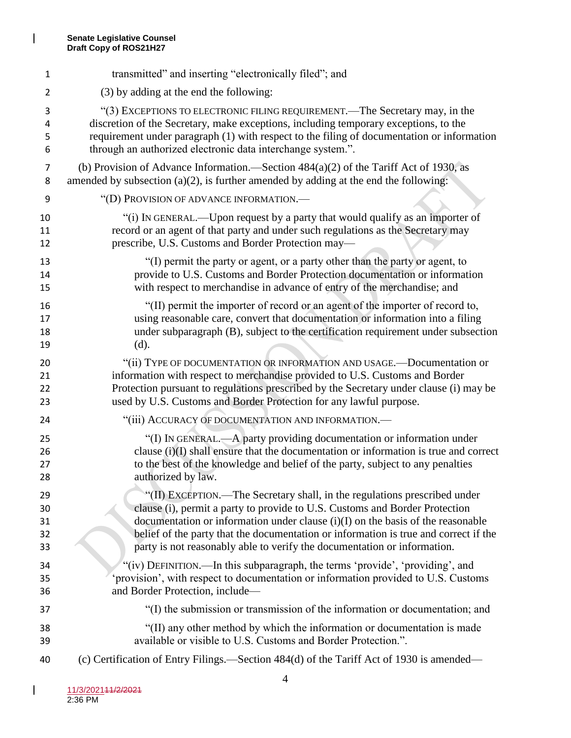$\mathsf I$ 

| 1              | transmitted" and inserting "electronically filed"; and                                     |
|----------------|--------------------------------------------------------------------------------------------|
| $\overline{2}$ | (3) by adding at the end the following:                                                    |
| 3              | "(3) EXCEPTIONS TO ELECTRONIC FILING REQUIREMENT.—The Secretary may, in the                |
| 4              | discretion of the Secretary, make exceptions, including temporary exceptions, to the       |
| 5              | requirement under paragraph (1) with respect to the filing of documentation or information |
| 6              | through an authorized electronic data interchange system.".                                |
| 7              | (b) Provision of Advance Information.—Section $484(a)(2)$ of the Tariff Act of 1930, as    |
| 8              | amended by subsection $(a)(2)$ , is further amended by adding at the end the following:    |
| 9              | "(D) PROVISION OF ADVANCE INFORMATION.—                                                    |
| 10             | "(i) IN GENERAL.—Upon request by a party that would qualify as an importer of              |
| 11             | record or an agent of that party and under such regulations as the Secretary may           |
| 12             | prescribe, U.S. Customs and Border Protection may-                                         |
| 13             | "(I) permit the party or agent, or a party other than the party or agent, to               |
| 14             | provide to U.S. Customs and Border Protection documentation or information                 |
| 15             | with respect to merchandise in advance of entry of the merchandise; and                    |
| 16             | "(II) permit the importer of record or an agent of the importer of record to,              |
| 17             | using reasonable care, convert that documentation or information into a filing             |
| 18             | under subparagraph (B), subject to the certification requirement under subsection          |
| 19             | (d).                                                                                       |
| 20             | "(ii) TYPE OF DOCUMENTATION OR INFORMATION AND USAGE.- Documentation or                    |
| 21             | information with respect to merchandise provided to U.S. Customs and Border                |
| 22             | Protection pursuant to regulations prescribed by the Secretary under clause (i) may be     |
| 23             | used by U.S. Customs and Border Protection for any lawful purpose.                         |
| 24             | "(iii) ACCURACY OF DOCUMENTATION AND INFORMATION.—                                         |
| 25             | "(I) IN GENERAL.—A party providing documentation or information under                      |
| 26             | clause $(i)(I)$ shall ensure that the documentation or information is true and correct     |
| 27             | to the best of the knowledge and belief of the party, subject to any penalties             |
| 28             | authorized by law.                                                                         |
| 29             | "(II) EXCEPTION.—The Secretary shall, in the regulations prescribed under                  |
| 30             | clause (i), permit a party to provide to U.S. Customs and Border Protection                |
| 31             | documentation or information under clause $(i)(I)$ on the basis of the reasonable          |
| 32             | belief of the party that the documentation or information is true and correct if the       |
| 33             | party is not reasonably able to verify the documentation or information.                   |
| 34             | "(iv) DEFINITION.—In this subparagraph, the terms 'provide', 'providing', and              |
| 35             | 'provision', with respect to documentation or information provided to U.S. Customs         |
| 36             | and Border Protection, include-                                                            |
| 37             | "(I) the submission or transmission of the information or documentation; and               |
| 38             | "(II) any other method by which the information or documentation is made                   |
| 39             | available or visible to U.S. Customs and Border Protection.".                              |
| 40             | (c) Certification of Entry Filings.—Section 484(d) of the Tariff Act of 1930 is amended—   |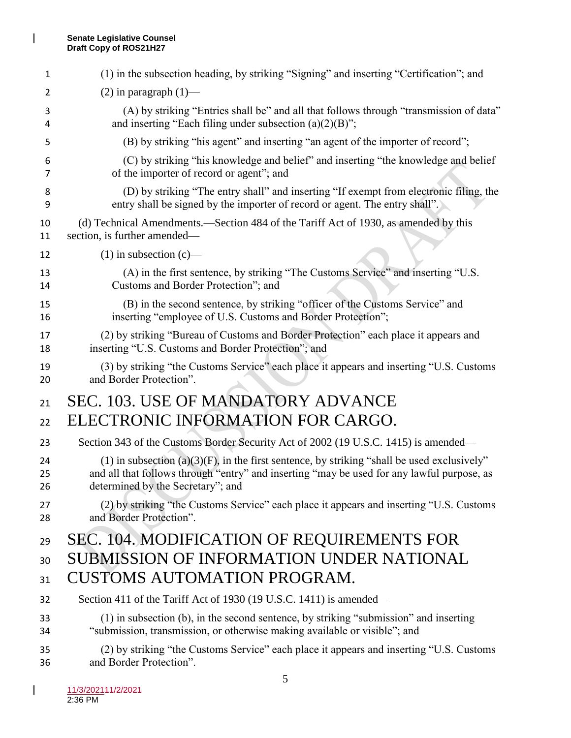$\mathsf I$ 

| 1  | (1) in the subsection heading, by striking "Signing" and inserting "Certification"; and          |
|----|--------------------------------------------------------------------------------------------------|
| 2  | $(2)$ in paragraph $(1)$ —                                                                       |
| 3  | (A) by striking "Entries shall be" and all that follows through "transmission of data"           |
| 4  | and inserting "Each filing under subsection $(a)(2)(B)$ ";                                       |
| 5  | (B) by striking "his agent" and inserting "an agent of the importer of record";                  |
| 6  | (C) by striking "his knowledge and belief" and inserting "the knowledge and belief               |
| 7  | of the importer of record or agent"; and                                                         |
| 8  | (D) by striking "The entry shall" and inserting "If exempt from electronic filing, the           |
| 9  | entry shall be signed by the importer of record or agent. The entry shall".                      |
| 10 | (d) Technical Amendments.—Section 484 of the Tariff Act of 1930, as amended by this              |
| 11 | section, is further amended—                                                                     |
| 12 | $(1)$ in subsection $(c)$ —                                                                      |
| 13 | (A) in the first sentence, by striking "The Customs Service" and inserting "U.S.                 |
| 14 | Customs and Border Protection"; and                                                              |
| 15 | (B) in the second sentence, by striking "officer of the Customs Service" and                     |
| 16 | inserting "employee of U.S. Customs and Border Protection";                                      |
| 17 | (2) by striking "Bureau of Customs and Border Protection" each place it appears and              |
| 18 | inserting "U.S. Customs and Border Protection"; and                                              |
| 19 | (3) by striking "the Customs Service" each place it appears and inserting "U.S. Customs          |
| 20 | and Border Protection".                                                                          |
| 21 | SEC. 103. USE OF MANDATORY ADVANCE                                                               |
| 22 | ELECTRONIC INFORMATION FOR CARGO.                                                                |
| 23 | Section 343 of the Customs Border Security Act of 2002 (19 U.S.C. 1415) is amended—              |
| 24 | $(1)$ in subsection $(a)(3)(F)$ , in the first sentence, by striking "shall be used exclusively" |
| 25 | and all that follows through "entry" and inserting "may be used for any lawful purpose, as       |
| 26 | determined by the Secretary"; and                                                                |
| 27 | (2) by striking "the Customs Service" each place it appears and inserting "U.S. Customs"         |
| 28 | and Border Protection".                                                                          |
| 29 | <b>SEC. 104. MODIFICATION OF REQUIREMENTS FOR</b>                                                |
| 30 | <b>SUBMISSION OF INFORMATION UNDER NATIONAL</b>                                                  |
| 31 | <b>CUSTOMS AUTOMATION PROGRAM.</b>                                                               |
| 32 | Section 411 of the Tariff Act of 1930 (19 U.S.C. 1411) is amended—                               |
| 33 | (1) in subsection (b), in the second sentence, by striking "submission" and inserting            |
| 34 | "submission, transmission, or otherwise making available or visible"; and                        |
| 35 | (2) by striking "the Customs Service" each place it appears and inserting "U.S. Customs          |
| 36 | and Border Protection".                                                                          |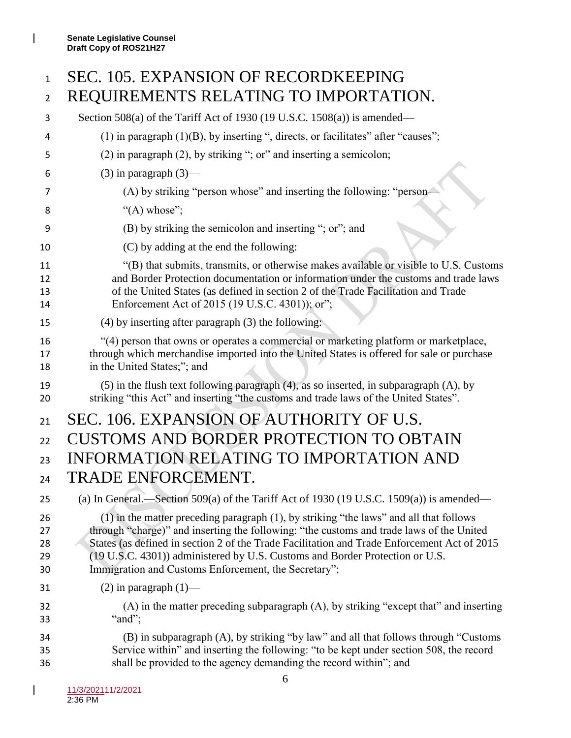# SEC. 105. EXPANSION OF RECORDKEEPING REQUIREMENTS RELATING TO IMPORTATION.

 Section 508(a) of the Tariff Act of 1930 (19 U.S.C. 1508(a)) is amended— (1) in paragraph (1)(B), by inserting ", directs, or facilitates" after "causes"; (2) in paragraph (2), by striking "; or" and inserting a semicolon; 6 (3) in paragraph  $(3)$ — (A) by striking "person whose" and inserting the following: "person—  $"({\rm A})$  whose"; (B) by striking the semicolon and inserting "; or"; and (C) by adding at the end the following: "(B) that submits, transmits, or otherwise makes available or visible to U.S. Customs and Border Protection documentation or information under the customs and trade laws of the United States (as defined in section 2 of the Trade Facilitation and Trade 14 Enforcement Act of 2015 (19 U.S.C. 4301)); or"; (4) by inserting after paragraph (3) the following: "(4) person that owns or operates a commercial or marketing platform or marketplace, through which merchandise imported into the United States is offered for sale or purchase in the United States;"; and (5) in the flush text following paragraph (4), as so inserted, in subparagraph (A), by striking "this Act" and inserting "the customs and trade laws of the United States". 21 SEC. 106. EXPANSION OF AUTHORITY OF U.S. 22 CUSTOMS AND BORDER PROTECTION TO OBTAIN INFORMATION RELATING TO IMPORTATION AND TRADE ENFORCEMENT. (a) In General.—Section 509(a) of the Tariff Act of 1930 (19 U.S.C. 1509(a)) is amended— (1) in the matter preceding paragraph (1), by striking "the laws" and all that follows through "charge)" and inserting the following: "the customs and trade laws of the United 28 States (as defined in section 2 of the Trade Facilitation and Trade Enforcement Act of 2015 (19 U.S.C. 4301)) administered by U.S. Customs and Border Protection or U.S. Immigration and Customs Enforcement, the Secretary"; 31 (2) in paragraph  $(1)$ — (A) in the matter preceding subparagraph (A), by striking "except that" and inserting "and"; (B) in subparagraph (A), by striking "by law" and all that follows through "Customs Service within" and inserting the following: "to be kept under section 508, the record shall be provided to the agency demanding the record within"; and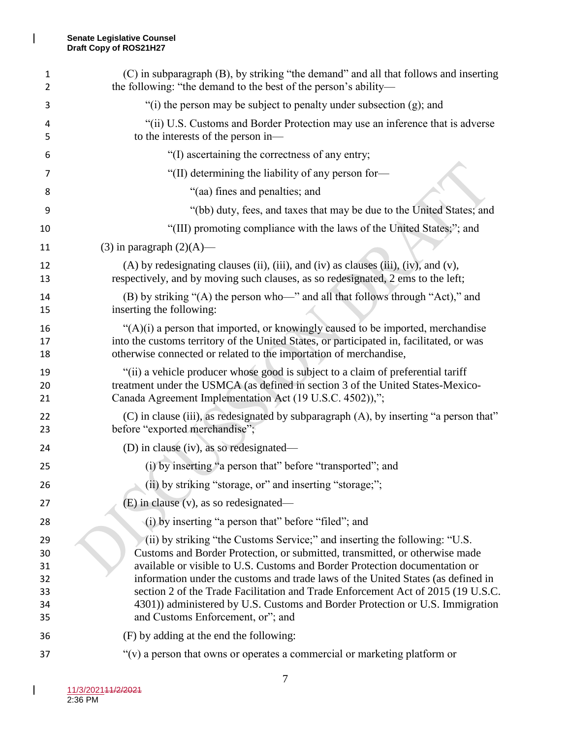$\mathsf I$ 

| 1<br>2                                 | (C) in subparagraph (B), by striking "the demand" and all that follows and inserting<br>the following: "the demand to the best of the person's ability—                                                                                                                                                                                                                                                                                                                                                                                |
|----------------------------------------|----------------------------------------------------------------------------------------------------------------------------------------------------------------------------------------------------------------------------------------------------------------------------------------------------------------------------------------------------------------------------------------------------------------------------------------------------------------------------------------------------------------------------------------|
| 3                                      | "(i) the person may be subject to penalty under subsection (g); and                                                                                                                                                                                                                                                                                                                                                                                                                                                                    |
| 4<br>5                                 | "(ii) U.S. Customs and Border Protection may use an inference that is adverse<br>to the interests of the person in—                                                                                                                                                                                                                                                                                                                                                                                                                    |
| 6                                      | "(I) ascertaining the correctness of any entry;                                                                                                                                                                                                                                                                                                                                                                                                                                                                                        |
| 7                                      | "(II) determining the liability of any person for-                                                                                                                                                                                                                                                                                                                                                                                                                                                                                     |
| 8                                      | "(aa) fines and penalties; and                                                                                                                                                                                                                                                                                                                                                                                                                                                                                                         |
| 9                                      | "(bb) duty, fees, and taxes that may be due to the United States; and                                                                                                                                                                                                                                                                                                                                                                                                                                                                  |
| 10                                     | "(III) promoting compliance with the laws of the United States;"; and                                                                                                                                                                                                                                                                                                                                                                                                                                                                  |
| 11                                     | $(3)$ in paragraph $(2)(A)$ —                                                                                                                                                                                                                                                                                                                                                                                                                                                                                                          |
| 12<br>13                               | (A) by redesignating clauses (ii), (iii), and (iv) as clauses (iii), (iv), and (v),<br>respectively, and by moving such clauses, as so redesignated, 2 ems to the left;                                                                                                                                                                                                                                                                                                                                                                |
| 14<br>15                               | (B) by striking "(A) the person who-" and all that follows through "Act)," and<br>inserting the following:                                                                                                                                                                                                                                                                                                                                                                                                                             |
| 16<br>17<br>18                         | " $(A)(i)$ a person that imported, or knowingly caused to be imported, merchandise<br>into the customs territory of the United States, or participated in, facilitated, or was<br>otherwise connected or related to the importation of merchandise,                                                                                                                                                                                                                                                                                    |
| 19<br>20<br>21                         | "(ii) a vehicle producer whose good is subject to a claim of preferential tariff<br>treatment under the USMCA (as defined in section 3 of the United States-Mexico-<br>Canada Agreement Implementation Act (19 U.S.C. 4502)),";                                                                                                                                                                                                                                                                                                        |
| 22<br>23                               | (C) in clause (iii), as redesignated by subparagraph (A), by inserting "a person that"<br>before "exported merchandise";                                                                                                                                                                                                                                                                                                                                                                                                               |
| 24                                     | (D) in clause (iv), as so redesignated—                                                                                                                                                                                                                                                                                                                                                                                                                                                                                                |
| 25                                     | (i) by inserting "a person that" before "transported"; and                                                                                                                                                                                                                                                                                                                                                                                                                                                                             |
| 26                                     | (ii) by striking "storage, or" and inserting "storage;";                                                                                                                                                                                                                                                                                                                                                                                                                                                                               |
| 27                                     | (E) in clause (v), as so redesignated-                                                                                                                                                                                                                                                                                                                                                                                                                                                                                                 |
| 28                                     | (i) by inserting "a person that" before "filed"; and                                                                                                                                                                                                                                                                                                                                                                                                                                                                                   |
| 29<br>30<br>31<br>32<br>33<br>34<br>35 | (ii) by striking "the Customs Service;" and inserting the following: "U.S.<br>Customs and Border Protection, or submitted, transmitted, or otherwise made<br>available or visible to U.S. Customs and Border Protection documentation or<br>information under the customs and trade laws of the United States (as defined in<br>section 2 of the Trade Facilitation and Trade Enforcement Act of 2015 (19 U.S.C.<br>4301)) administered by U.S. Customs and Border Protection or U.S. Immigration<br>and Customs Enforcement, or"; and |
| 36                                     | (F) by adding at the end the following:                                                                                                                                                                                                                                                                                                                                                                                                                                                                                                |
| 37                                     | " $(v)$ a person that owns or operates a commercial or marketing platform or                                                                                                                                                                                                                                                                                                                                                                                                                                                           |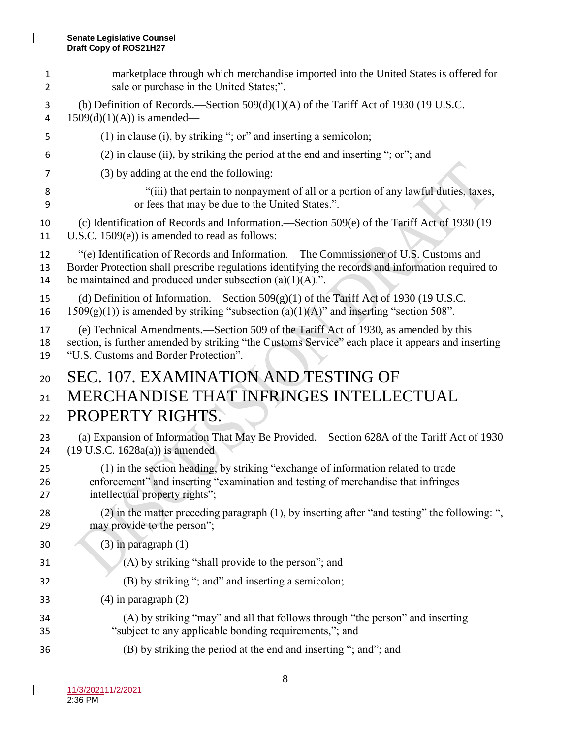marketplace through which merchandise imported into the United States is offered for sale or purchase in the United States;". (b) Definition of Records.—Section 509(d)(1)(A) of the Tariff Act of 1930 (19 U.S.C. 4 1509(d)(1)(A)) is amended— (1) in clause (i), by striking "; or" and inserting a semicolon; (2) in clause (ii), by striking the period at the end and inserting "; or"; and (3) by adding at the end the following: "(iii) that pertain to nonpayment of all or a portion of any lawful duties, taxes, or fees that may be due to the United States.". (c) Identification of Records and Information.—Section 509(e) of the Tariff Act of 1930 (19 U.S.C. 1509(e)) is amended to read as follows: "(e) Identification of Records and Information.—The Commissioner of U.S. Customs and Border Protection shall prescribe regulations identifying the records and information required to 14 be maintained and produced under subsection  $(a)(1)(A)$ .". (d) Definition of Information.—Section 509(g)(1) of the Tariff Act of 1930 (19 U.S.C. 16 1509(g)(1)) is amended by striking "subsection (a)(1)(A)" and inserting "section 508". (e) Technical Amendments.—Section 509 of the Tariff Act of 1930, as amended by this section, is further amended by striking "the Customs Service" each place it appears and inserting "U.S. Customs and Border Protection". SEC. 107. EXAMINATION AND TESTING OF MERCHANDISE THAT INFRINGES INTELLECTUAL PROPERTY RIGHTS. (a) Expansion of Information That May Be Provided.—Section 628A of the Tariff Act of 1930 (19 U.S.C. 1628a(a)) is amended— (1) in the section heading, by striking "exchange of information related to trade enforcement" and inserting "examination and testing of merchandise that infringes intellectual property rights"; (2) in the matter preceding paragraph (1), by inserting after "and testing" the following: ", may provide to the person"; 30 (3) in paragraph  $(1)$ — (A) by striking "shall provide to the person"; and (B) by striking "; and" and inserting a semicolon; 33 (4) in paragraph  $(2)$ — (A) by striking "may" and all that follows through "the person" and inserting "subject to any applicable bonding requirements,"; and (B) by striking the period at the end and inserting "; and"; and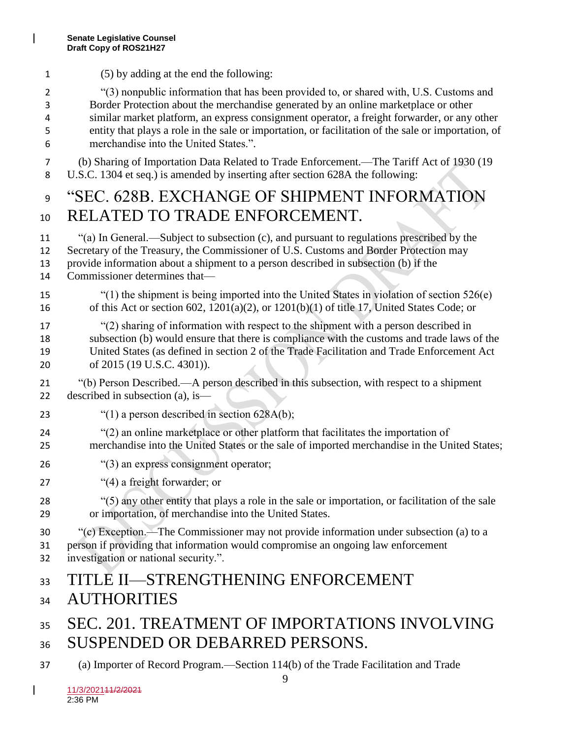| 1                     | (5) by adding at the end the following:                                                                                                                                                                                                                                                                                                                                                                                      |
|-----------------------|------------------------------------------------------------------------------------------------------------------------------------------------------------------------------------------------------------------------------------------------------------------------------------------------------------------------------------------------------------------------------------------------------------------------------|
| 2<br>3<br>4<br>5<br>6 | "(3) nonpublic information that has been provided to, or shared with, U.S. Customs and<br>Border Protection about the merchandise generated by an online marketplace or other<br>similar market platform, an express consignment operator, a freight forwarder, or any other<br>entity that plays a role in the sale or importation, or facilitation of the sale or importation, of<br>merchandise into the United States.". |
| 7<br>8                | (b) Sharing of Importation Data Related to Trade Enforcement.—The Tariff Act of 1930 (19<br>U.S.C. 1304 et seq.) is amended by inserting after section 628A the following:                                                                                                                                                                                                                                                   |
| 9                     | "SEC. 628B. EXCHANGE OF SHIPMENT INFORMATION                                                                                                                                                                                                                                                                                                                                                                                 |
| 10                    | RELATED TO TRADE ENFORCEMENT.                                                                                                                                                                                                                                                                                                                                                                                                |
| 11<br>12<br>13<br>14  | "(a) In General.—Subject to subsection (c), and pursuant to regulations prescribed by the<br>Secretary of the Treasury, the Commissioner of U.S. Customs and Border Protection may<br>provide information about a shipment to a person described in subsection (b) if the<br>Commissioner determines that-                                                                                                                   |
| 15<br>16              | "(1) the shipment is being imported into the United States in violation of section $526(e)$<br>of this Act or section 602, $1201(a)(2)$ , or $1201(b)(1)$ of title 17, United States Code; or                                                                                                                                                                                                                                |
| 17<br>18<br>19<br>20  | "(2) sharing of information with respect to the shipment with a person described in<br>subsection (b) would ensure that there is compliance with the customs and trade laws of the<br>United States (as defined in section 2 of the Trade Facilitation and Trade Enforcement Act<br>of 2015 (19 U.S.C. 4301)).                                                                                                               |
| 21<br>22              | "(b) Person Described.—A person described in this subsection, with respect to a shipment<br>described in subsection (a), is—                                                                                                                                                                                                                                                                                                 |
| 23                    | "(1) a person described in section $628A(b)$ ;                                                                                                                                                                                                                                                                                                                                                                               |
| 24<br>25              | "(2) an online marketplace or other platform that facilitates the importation of<br>merchandise into the United States or the sale of imported merchandise in the United States;                                                                                                                                                                                                                                             |
| 26                    | "(3) an express consignment operator;                                                                                                                                                                                                                                                                                                                                                                                        |
| 27                    | "(4) a freight forwarder; or                                                                                                                                                                                                                                                                                                                                                                                                 |
| 28<br>29              | "(5) any other entity that plays a role in the sale or importation, or facilitation of the sale<br>or importation, of merchandise into the United States.                                                                                                                                                                                                                                                                    |
| 30<br>31<br>32        | "(c) Exception.—The Commissioner may not provide information under subsection (a) to a<br>person if providing that information would compromise an ongoing law enforcement<br>investigation or national security.".                                                                                                                                                                                                          |
| 33                    | TITLE II—STRENGTHENING ENFORCEMENT                                                                                                                                                                                                                                                                                                                                                                                           |
| 34                    | <b>AUTHORITIES</b>                                                                                                                                                                                                                                                                                                                                                                                                           |
| 35                    | SEC. 201. TREATMENT OF IMPORTATIONS INVOLVING                                                                                                                                                                                                                                                                                                                                                                                |
| 36                    | SUSPENDED OR DEBARRED PERSONS.                                                                                                                                                                                                                                                                                                                                                                                               |
| 37                    | (a) Importer of Record Program.—Section 114(b) of the Trade Facilitation and Trade                                                                                                                                                                                                                                                                                                                                           |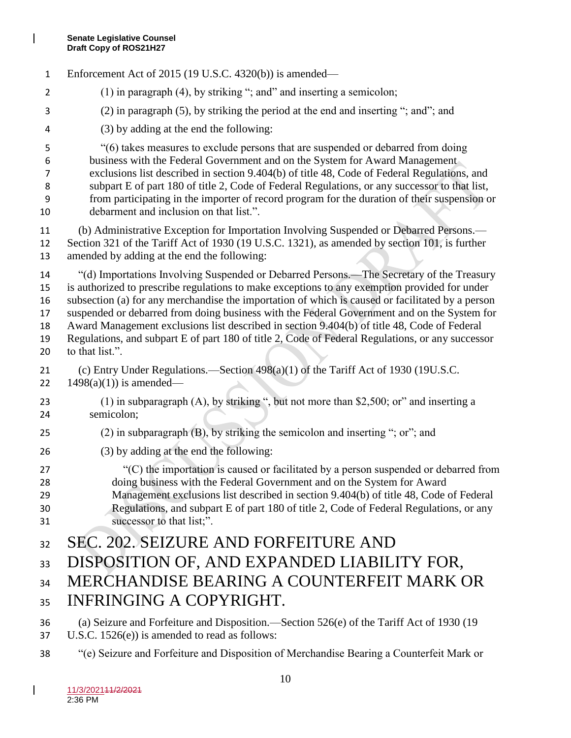Enforcement Act of 2015 (19 U.S.C. 4320(b)) is amended— 2 (1) in paragraph (4), by striking "; and" and inserting a semicolon; (2) in paragraph (5), by striking the period at the end and inserting "; and"; and (3) by adding at the end the following: "(6) takes measures to exclude persons that are suspended or debarred from doing business with the Federal Government and on the System for Award Management exclusions list described in section 9.404(b) of title 48, Code of Federal Regulations, and subpart E of part 180 of title 2, Code of Federal Regulations, or any successor to that list, from participating in the importer of record program for the duration of their suspension or debarment and inclusion on that list.". (b) Administrative Exception for Importation Involving Suspended or Debarred Persons.— Section 321 of the Tariff Act of 1930 (19 U.S.C. 1321), as amended by section 101, is further amended by adding at the end the following: "(d) Importations Involving Suspended or Debarred Persons.—The Secretary of the Treasury is authorized to prescribe regulations to make exceptions to any exemption provided for under subsection (a) for any merchandise the importation of which is caused or facilitated by a person suspended or debarred from doing business with the Federal Government and on the System for Award Management exclusions list described in section 9.404(b) of title 48, Code of Federal Regulations, and subpart E of part 180 of title 2, Code of Federal Regulations, or any successor to that list.". (c) Entry Under Regulations.—Section 498(a)(1) of the Tariff Act of 1930 (19U.S.C.  $1498(a)(1)$  is amended— (1) in subparagraph (A), by striking ", but not more than \$2,500; or" and inserting a semicolon; 25 (2) in subparagraph  $(B)$ , by striking the semicolon and inserting "; or"; and (3) by adding at the end the following: "(C) the importation is caused or facilitated by a person suspended or debarred from doing business with the Federal Government and on the System for Award Management exclusions list described in section 9.404(b) of title 48, Code of Federal Regulations, and subpart E of part 180 of title 2, Code of Federal Regulations, or any successor to that list;". SEC. 202. SEIZURE AND FORFEITURE AND 33 DISPOSITION OF, AND EXPANDED LIABILITY FOR, 34 MERCHANDISE BEARING A COUNTERFEIT MARK OR INFRINGING A COPYRIGHT. (a) Seizure and Forfeiture and Disposition.—Section 526(e) of the Tariff Act of 1930 (19 U.S.C. 1526(e)) is amended to read as follows: "(e) Seizure and Forfeiture and Disposition of Merchandise Bearing a Counterfeit Mark or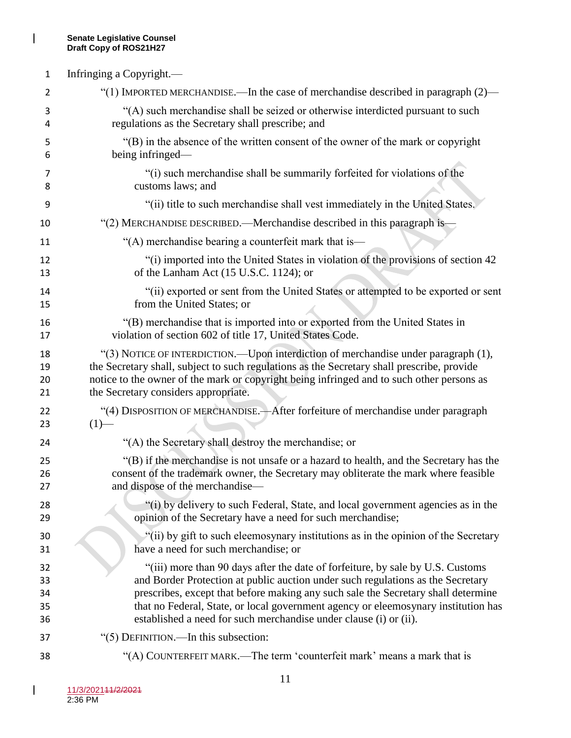$\mathbf{l}$ 

| 1  | Infringing a Copyright.—                                                                   |
|----|--------------------------------------------------------------------------------------------|
| 2  | "(1) IMPORTED MERCHANDISE.—In the case of merchandise described in paragraph $(2)$ —       |
| 3  | "(A) such merchandise shall be seized or otherwise interdicted pursuant to such            |
| 4  | regulations as the Secretary shall prescribe; and                                          |
| 5  | "(B) in the absence of the written consent of the owner of the mark or copyright           |
| 6  | being infringed—                                                                           |
| 7  | "(i) such merchandise shall be summarily forfeited for violations of the                   |
| 8  | customs laws; and                                                                          |
| 9  | "(ii) title to such merchandise shall vest immediately in the United States.               |
| 10 | "(2) MERCHANDISE DESCRIBED.—Merchandise described in this paragraph is—                    |
| 11 | "(A) merchandise bearing a counterfeit mark that is—                                       |
| 12 | "(i) imported into the United States in violation of the provisions of section 42          |
| 13 | of the Lanham Act (15 U.S.C. 1124); or                                                     |
| 14 | "(ii) exported or sent from the United States or attempted to be exported or sent          |
| 15 | from the United States; or                                                                 |
| 16 | "(B) merchandise that is imported into or exported from the United States in               |
| 17 | violation of section 602 of title 17, United States Code.                                  |
| 18 | "(3) NOTICE OF INTERDICTION.—Upon interdiction of merchandise under paragraph (1),         |
| 19 | the Secretary shall, subject to such regulations as the Secretary shall prescribe, provide |
| 20 | notice to the owner of the mark or copyright being infringed and to such other persons as  |
| 21 | the Secretary considers appropriate.                                                       |
| 22 | "(4) DISPOSITION OF MERCHANDISE.—After forfeiture of merchandise under paragraph           |
| 23 | $(1)$ —                                                                                    |
| 24 | "(A) the Secretary shall destroy the merchandise; or                                       |
| 25 | "(B) if the merchandise is not unsafe or a hazard to health, and the Secretary has the     |
| 26 | consent of the trademark owner, the Secretary may obliterate the mark where feasible       |
| 27 | and dispose of the merchandise—                                                            |
| 28 | "(i) by delivery to such Federal, State, and local government agencies as in the           |
| 29 | opinion of the Secretary have a need for such merchandise;                                 |
| 30 | "(ii) by gift to such eleemosynary institutions as in the opinion of the Secretary         |
| 31 | have a need for such merchandise; or                                                       |
| 32 | "(iii) more than 90 days after the date of forfeiture, by sale by U.S. Customs             |
| 33 | and Border Protection at public auction under such regulations as the Secretary            |
| 34 | prescribes, except that before making any such sale the Secretary shall determine          |
| 35 | that no Federal, State, or local government agency or eleemosynary institution has         |
| 36 | established a need for such merchandise under clause (i) or (ii).                          |
| 37 | "(5) DEFINITION.—In this subsection:                                                       |
| 38 | "(A) COUNTERFEIT MARK.—The term 'counterfeit mark' means a mark that is                    |

 $\mathsf I$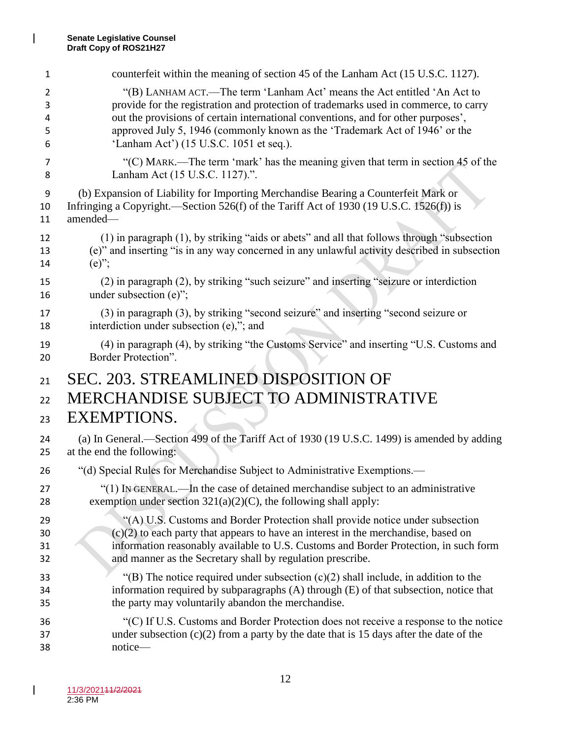| 1              | counterfeit within the meaning of section 45 of the Lanham Act (15 U.S.C. 1127).             |
|----------------|----------------------------------------------------------------------------------------------|
| $\overline{2}$ | "(B) LANHAM ACT.—The term 'Lanham Act' means the Act entitled 'An Act to                     |
| 3              | provide for the registration and protection of trademarks used in commerce, to carry         |
| 4              | out the provisions of certain international conventions, and for other purposes',            |
| 5              | approved July 5, 1946 (commonly known as the 'Trademark Act of 1946' or the                  |
| 6              | 'Lanham Act') (15 U.S.C. 1051 et seq.).                                                      |
| 7              | "(C) MARK.—The term 'mark' has the meaning given that term in section 45 of the              |
| 8              | Lanham Act (15 U.S.C. 1127).".                                                               |
| 9              | (b) Expansion of Liability for Importing Merchandise Bearing a Counterfeit Mark or           |
| 10             | Infringing a Copyright.—Section 526(f) of the Tariff Act of 1930 (19 U.S.C. 1526(f)) is      |
| 11             | amended-                                                                                     |
| 12             | (1) in paragraph (1), by striking "aids or abets" and all that follows through "subsection"  |
| 13             | (e)" and inserting "is in any way concerned in any unlawful activity described in subsection |
| 14             | $(e)$ ";                                                                                     |
| 15             | (2) in paragraph (2), by striking "such seizure" and inserting "seizure or interdiction      |
| 16             | under subsection (e)";                                                                       |
| 17             | (3) in paragraph (3), by striking "second seizure" and inserting "second seizure or          |
| 18             | interdiction under subsection $(e)$ ,"; and                                                  |
| 19             | (4) in paragraph (4), by striking "the Customs Service" and inserting "U.S. Customs and      |
| 20             | Border Protection".                                                                          |
| 21             | SEC. 203. STREAMLINED DISPOSITION OF                                                         |
| 22             | <b>MERCHANDISE SUBJECT TO ADMINISTRATIVE</b>                                                 |
| 23             | <b>EXEMPTIONS.</b>                                                                           |
| 24             | (a) In General.—Section 499 of the Tariff Act of 1930 (19 U.S.C. 1499) is amended by adding  |
| 25             | at the end the following:                                                                    |
| 26             | "(d) Special Rules for Merchandise Subject to Administrative Exemptions.—                    |
| 27             | "(1) IN GENERAL.—In the case of detained merchandise subject to an administrative            |
| 28             | exemption under section $321(a)(2)(C)$ , the following shall apply:                          |
| 29             | "(A) U.S. Customs and Border Protection shall provide notice under subsection                |
| 30             | $(c)(2)$ to each party that appears to have an interest in the merchandise, based on         |
| 31             | information reasonably available to U.S. Customs and Border Protection, in such form         |
| 32             | and manner as the Secretary shall by regulation prescribe.                                   |
| 33             | "(B) The notice required under subsection $(c)(2)$ shall include, in addition to the         |
| 34             | information required by subparagraphs (A) through (E) of that subsection, notice that        |
| 35             | the party may voluntarily abandon the merchandise.                                           |
| 36             | "(C) If U.S. Customs and Border Protection does not receive a response to the notice         |
| 37             | under subsection $(c)(2)$ from a party by the date that is 15 days after the date of the     |
| 38             | notice-                                                                                      |

 $\mathbf{l}$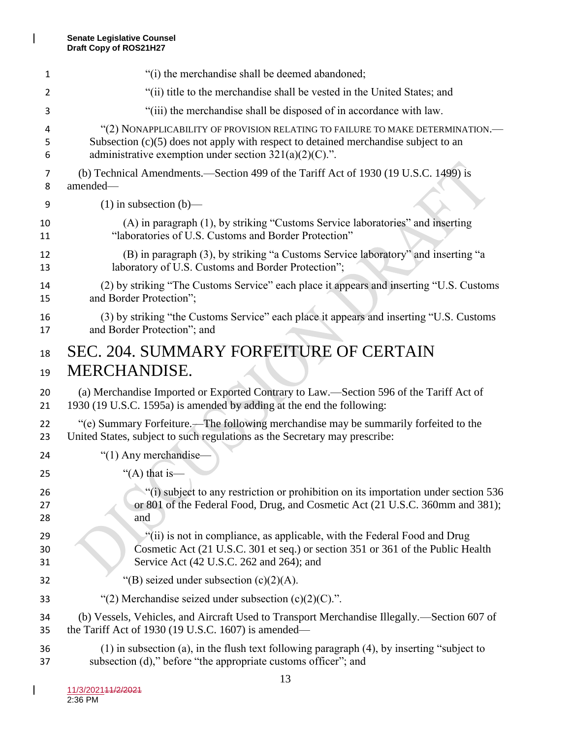| 1  | "(i) the merchandise shall be deemed abandoned;                                             |
|----|---------------------------------------------------------------------------------------------|
| 2  | "(ii) title to the merchandise shall be vested in the United States; and                    |
| 3  | "(iii) the merchandise shall be disposed of in accordance with law.                         |
| 4  | "(2) NONAPPLICABILITY OF PROVISION RELATING TO FAILURE TO MAKE DETERMINATION.—              |
| 5  | Subsection $(c)(5)$ does not apply with respect to detained merchandise subject to an       |
| 6  | administrative exemption under section $321(a)(2)(C)$ .".                                   |
| 7  | (b) Technical Amendments.—Section 499 of the Tariff Act of 1930 (19 U.S.C. 1499) is         |
| 8  | amended-                                                                                    |
| 9  | $(1)$ in subsection $(b)$ —                                                                 |
| 10 | (A) in paragraph (1), by striking "Customs Service laboratories" and inserting              |
| 11 | "laboratories of U.S. Customs and Border Protection"                                        |
| 12 | (B) in paragraph (3), by striking "a Customs Service laboratory" and inserting "a           |
| 13 | laboratory of U.S. Customs and Border Protection";                                          |
| 14 | (2) by striking "The Customs Service" each place it appears and inserting "U.S. Customs     |
| 15 | and Border Protection";                                                                     |
| 16 | (3) by striking "the Customs Service" each place it appears and inserting "U.S. Customs     |
| 17 | and Border Protection"; and                                                                 |
| 18 | <b>SEC. 204. SUMMARY FORFEITURE OF CERTAIN</b>                                              |
| 19 | MERCHANDISE.                                                                                |
| 20 | (a) Merchandise Imported or Exported Contrary to Law.—Section 596 of the Tariff Act of      |
| 21 | 1930 (19 U.S.C. 1595a) is amended by adding at the end the following:                       |
| 22 | "(e) Summary Forfeiture.—The following merchandise may be summarily forfeited to the        |
| 23 | United States, subject to such regulations as the Secretary may prescribe:                  |
| 24 | "(1) Any merchandise-                                                                       |
| 25 | "(A) that is—                                                                               |
| 26 | "(i) subject to any restriction or prohibition on its importation under section 536         |
| 27 | or 801 of the Federal Food, Drug, and Cosmetic Act (21 U.S.C. 360mm and 381);               |
| 28 | and                                                                                         |
| 29 | $\mathcal{E}$ (ii) is not in compliance, as applicable, with the Federal Food and Drug      |
| 30 | Cosmetic Act (21 U.S.C. 301 et seq.) or section 351 or 361 of the Public Health             |
| 31 | Service Act (42 U.S.C. 262 and 264); and                                                    |
| 32 | "(B) seized under subsection $(c)(2)(A)$ .                                                  |
| 33 | "(2) Merchandise seized under subsection $(c)(2)(C)$ .".                                    |
| 34 | (b) Vessels, Vehicles, and Aircraft Used to Transport Merchandise Illegally.-Section 607 of |
| 35 | the Tariff Act of 1930 (19 U.S.C. 1607) is amended—                                         |
| 36 | (1) in subsection (a), in the flush text following paragraph (4), by inserting "subject to  |
| 37 | subsection (d)," before "the appropriate customs officer"; and                              |

 $\mathbf{l}$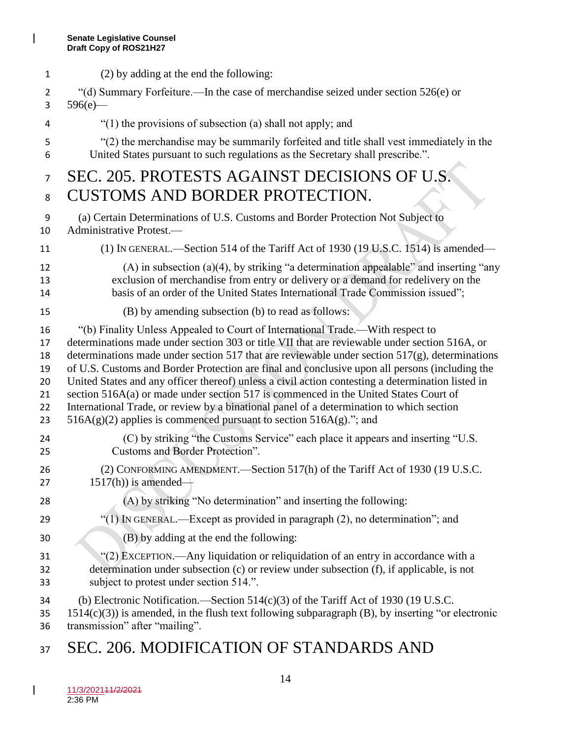$\begin{array}{c} \hline \end{array}$ 

| $\mathbf{1}$   | (2) by adding at the end the following:                                                              |
|----------------|------------------------------------------------------------------------------------------------------|
| 2              | "(d) Summary Forfeiture.—In the case of merchandise seized under section 526(e) or                   |
| 3              | $596(e)$ —                                                                                           |
| 4              | "(1) the provisions of subsection (a) shall not apply; and                                           |
| 5              | "(2) the merchandise may be summarily forfeited and title shall vest immediately in the              |
| 6              | United States pursuant to such regulations as the Secretary shall prescribe.".                       |
| $\overline{7}$ | SEC. 205. PROTESTS AGAINST DECISIONS OF U.S.                                                         |
| 8              | <b>CUSTOMS AND BORDER PROTECTION.</b>                                                                |
| 9              | (a) Certain Determinations of U.S. Customs and Border Protection Not Subject to                      |
| 10             | Administrative Protest.-                                                                             |
| 11             | (1) IN GENERAL.—Section 514 of the Tariff Act of 1930 (19 U.S.C. 1514) is amended—                   |
| 12             | (A) in subsection (a)(4), by striking "a determination appealable" and inserting "any                |
| 13             | exclusion of merchandise from entry or delivery or a demand for redelivery on the                    |
| 14             | basis of an order of the United States International Trade Commission issued";                       |
| 15             | (B) by amending subsection (b) to read as follows:                                                   |
| 16             | "(b) Finality Unless Appealed to Court of International Trade.—With respect to                       |
| 17             | determinations made under section 303 or title VII that are reviewable under section 516A, or        |
| 18             | determinations made under section 517 that are reviewable under section $517(g)$ , determinations    |
| 19             | of U.S. Customs and Border Protection are final and conclusive upon all persons (including the       |
| 20             | United States and any officer thereof) unless a civil action contesting a determination listed in    |
| 21             | section 516A(a) or made under section 517 is commenced in the United States Court of                 |
| 22             | International Trade, or review by a binational panel of a determination to which section             |
| 23             | $516A(g)(2)$ applies is commenced pursuant to section $516A(g)$ ."; and                              |
| 24             | (C) by striking "the Customs Service" each place it appears and inserting "U.S.                      |
| 25             | Customs and Border Protection".                                                                      |
| 26             | (2) CONFORMING AMENDMENT.—Section 517(h) of the Tariff Act of 1930 (19 U.S.C.                        |
| 27             | $1517(h)$ ) is amended-                                                                              |
| 28             | (A) by striking "No determination" and inserting the following:                                      |
| 29             | "(1) IN GENERAL.—Except as provided in paragraph (2), no determination"; and                         |
| 30             | (B) by adding at the end the following:                                                              |
| 31             | "(2) EXCEPTION.—Any liquidation or reliquidation of an entry in accordance with a                    |
| 32             | determination under subsection (c) or review under subsection (f), if applicable, is not             |
| 33             | subject to protest under section 514.".                                                              |
| 34             | (b) Electronic Notification.—Section $514(c)(3)$ of the Tariff Act of 1930 (19 U.S.C.                |
| 35             | $1514(c)(3)$ ) is amended, in the flush text following subparagraph (B), by inserting "or electronic |
| 36             | transmission" after "mailing".                                                                       |

37 SEC. 206. MODIFICATION OF STANDARDS AND

 $\overline{\phantom{a}}$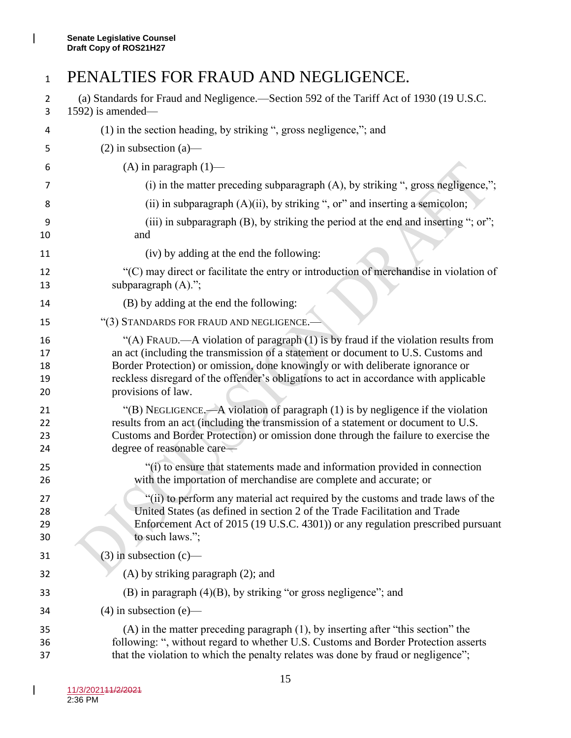$\begin{array}{c} \hline \end{array}$ 

### 1 PENALTIES FOR FRAUD AND NEGLIGENCE.

| 2<br>3                     | (a) Standards for Fraud and Negligence.—Section 592 of the Tariff Act of 1930 (19 U.S.C.<br>$1592$ ) is amended—                                                                                                                                                                                                                                                         |
|----------------------------|--------------------------------------------------------------------------------------------------------------------------------------------------------------------------------------------------------------------------------------------------------------------------------------------------------------------------------------------------------------------------|
| 4                          | (1) in the section heading, by striking ", gross negligence,"; and                                                                                                                                                                                                                                                                                                       |
| 5                          | $(2)$ in subsection $(a)$ —                                                                                                                                                                                                                                                                                                                                              |
| 6                          | $(A)$ in paragraph $(1)$ —                                                                                                                                                                                                                                                                                                                                               |
| 7                          | (i) in the matter preceding subparagraph $(A)$ , by striking ", gross negligence,";                                                                                                                                                                                                                                                                                      |
| 8                          | (ii) in subparagraph (A)(ii), by striking ", or" and inserting a semicolon;                                                                                                                                                                                                                                                                                              |
| 9<br>10                    | (iii) in subparagraph (B), by striking the period at the end and inserting "; or";<br>and                                                                                                                                                                                                                                                                                |
| 11                         | (iv) by adding at the end the following:                                                                                                                                                                                                                                                                                                                                 |
| 12<br>13                   | "(C) may direct or facilitate the entry or introduction of merchandise in violation of<br>subparagraph (A).";                                                                                                                                                                                                                                                            |
| 14                         | (B) by adding at the end the following:                                                                                                                                                                                                                                                                                                                                  |
| 15                         | "(3) STANDARDS FOR FRAUD AND NEGLIGENCE.-                                                                                                                                                                                                                                                                                                                                |
| 16<br>17<br>18<br>19<br>20 | "(A) FRAUD.—A violation of paragraph (1) is by fraud if the violation results from<br>an act (including the transmission of a statement or document to U.S. Customs and<br>Border Protection) or omission, done knowingly or with deliberate ignorance or<br>reckless disregard of the offender's obligations to act in accordance with applicable<br>provisions of law. |
| 21<br>22<br>23<br>24       | "(B) NEGLIGENCE.—A violation of paragraph (1) is by negligence if the violation<br>results from an act (including the transmission of a statement or document to U.S.<br>Customs and Border Protection) or omission done through the failure to exercise the<br>degree of reasonable care—                                                                               |
| 25<br>26                   | "(i) to ensure that statements made and information provided in connection<br>with the importation of merchandise are complete and accurate; or                                                                                                                                                                                                                          |
| 27<br>28<br>29<br>30       | "(ii) to perform any material act required by the customs and trade laws of the<br>United States (as defined in section 2 of the Trade Facilitation and Trade<br>Enforcement Act of 2015 (19 U.S.C. 4301)) or any regulation prescribed pursuant<br>to such laws.";                                                                                                      |
| 31                         | $(3)$ in subsection $(c)$ —                                                                                                                                                                                                                                                                                                                                              |
| 32                         | $(A)$ by striking paragraph $(2)$ ; and                                                                                                                                                                                                                                                                                                                                  |
| 33                         | (B) in paragraph (4)(B), by striking "or gross negligence"; and                                                                                                                                                                                                                                                                                                          |
| 34                         | $(4)$ in subsection (e)—                                                                                                                                                                                                                                                                                                                                                 |
| 35<br>36<br>37             | $(A)$ in the matter preceding paragraph $(1)$ , by inserting after "this section" the<br>following: ", without regard to whether U.S. Customs and Border Protection asserts<br>that the violation to which the penalty relates was done by fraud or negligence";                                                                                                         |

 $\overline{\phantom{a}}$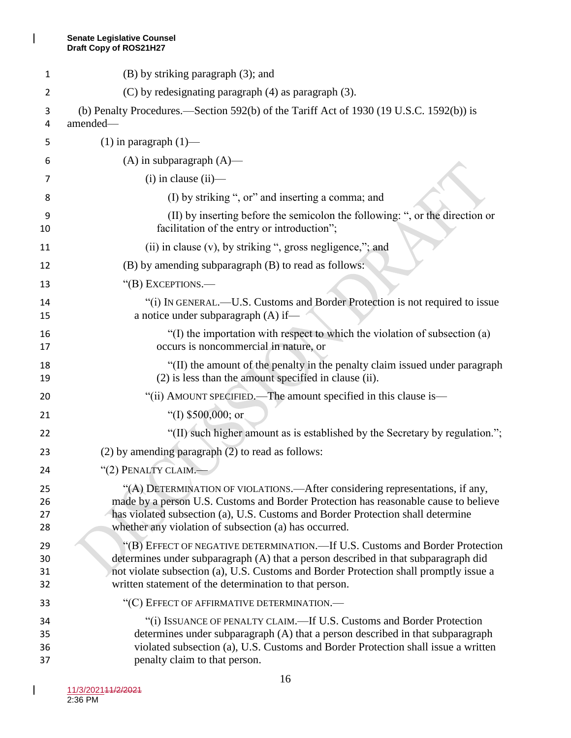$\mathbf{l}$ 

| 1                    | (B) by striking paragraph (3); and                                                                                                                                                                                                                                                                                    |
|----------------------|-----------------------------------------------------------------------------------------------------------------------------------------------------------------------------------------------------------------------------------------------------------------------------------------------------------------------|
| $\overline{2}$       | (C) by redesignating paragraph (4) as paragraph (3).                                                                                                                                                                                                                                                                  |
| 3<br>4               | (b) Penalty Procedures.—Section 592(b) of the Tariff Act of 1930 (19 U.S.C. 1592(b)) is<br>amended-                                                                                                                                                                                                                   |
| 5                    | $(1)$ in paragraph $(1)$ —                                                                                                                                                                                                                                                                                            |
| 6                    | $(A)$ in subparagraph $(A)$ —                                                                                                                                                                                                                                                                                         |
| 7                    | $(i)$ in clause $(ii)$ —                                                                                                                                                                                                                                                                                              |
| 8                    | (I) by striking ", or" and inserting a comma; and                                                                                                                                                                                                                                                                     |
| 9<br>10              | (II) by inserting before the semicolon the following: ", or the direction or<br>facilitation of the entry or introduction";                                                                                                                                                                                           |
| 11                   | (ii) in clause (v), by striking ", gross negligence,"; and                                                                                                                                                                                                                                                            |
| 12                   | (B) by amending subparagraph (B) to read as follows:                                                                                                                                                                                                                                                                  |
| 13                   | "(B) EXCEPTIONS.—                                                                                                                                                                                                                                                                                                     |
| 14<br>15             | "(i) IN GENERAL.—U.S. Customs and Border Protection is not required to issue<br>a notice under subparagraph (A) if—                                                                                                                                                                                                   |
| 16<br>17             | "(I) the importation with respect to which the violation of subsection (a)<br>occurs is noncommercial in nature, or                                                                                                                                                                                                   |
| 18<br>19             | "(II) the amount of the penalty in the penalty claim issued under paragraph<br>(2) is less than the amount specified in clause (ii).                                                                                                                                                                                  |
| 20                   | "(ii) AMOUNT SPECIFIED.—The amount specified in this clause is—                                                                                                                                                                                                                                                       |
| 21                   | "(I) $$500,000$ ; or                                                                                                                                                                                                                                                                                                  |
| 22                   | "(II) such higher amount as is established by the Secretary by regulation.";                                                                                                                                                                                                                                          |
| 23                   | $(2)$ by amending paragraph $(2)$ to read as follows:                                                                                                                                                                                                                                                                 |
| 24                   | "(2) PENALTY CLAIM.-                                                                                                                                                                                                                                                                                                  |
| 25<br>26<br>27<br>28 | "(A) DETERMINATION OF VIOLATIONS. - After considering representations, if any,<br>made by a person U.S. Customs and Border Protection has reasonable cause to believe<br>has violated subsection (a), U.S. Customs and Border Protection shall determine<br>whether any violation of subsection (a) has occurred.     |
| 29<br>30<br>31<br>32 | "(B) EFFECT OF NEGATIVE DETERMINATION.—If U.S. Customs and Border Protection<br>determines under subparagraph (A) that a person described in that subparagraph did<br>not violate subsection (a), U.S. Customs and Border Protection shall promptly issue a<br>written statement of the determination to that person. |
| 33                   | "(C) EFFECT OF AFFIRMATIVE DETERMINATION.—                                                                                                                                                                                                                                                                            |
| 34<br>35<br>36<br>37 | "(i) ISSUANCE OF PENALTY CLAIM.—If U.S. Customs and Border Protection<br>determines under subparagraph (A) that a person described in that subparagraph<br>violated subsection (a), U.S. Customs and Border Protection shall issue a written<br>penalty claim to that person.                                         |

 $\mathsf I$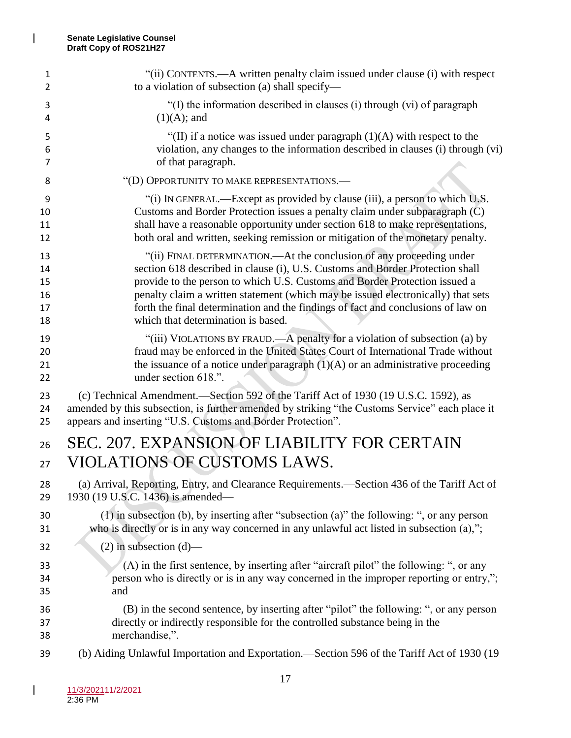$\mathbf{l}$ 

| 1  | "(ii) CONTENTS.—A written penalty claim issued under clause (i) with respect                   |
|----|------------------------------------------------------------------------------------------------|
| 2  | to a violation of subsection (a) shall specify—                                                |
| 3  | "(I) the information described in clauses (i) through (vi) of paragraph                        |
| 4  | $(1)(A)$ ; and                                                                                 |
| 5  | "(II) if a notice was issued under paragraph $(1)(A)$ with respect to the                      |
| 6  | violation, any changes to the information described in clauses (i) through (vi)                |
| 7  | of that paragraph.                                                                             |
| 8  | "(D) OPPORTUNITY TO MAKE REPRESENTATIONS.—                                                     |
| 9  | "(i) IN GENERAL.—Except as provided by clause (iii), a person to which U.S.                    |
| 10 | Customs and Border Protection issues a penalty claim under subparagraph (C)                    |
| 11 | shall have a reasonable opportunity under section 618 to make representations,                 |
| 12 | both oral and written, seeking remission or mitigation of the monetary penalty.                |
| 13 | "(ii) FINAL DETERMINATION.—At the conclusion of any proceeding under                           |
| 14 | section 618 described in clause (i), U.S. Customs and Border Protection shall                  |
| 15 | provide to the person to which U.S. Customs and Border Protection issued a                     |
| 16 | penalty claim a written statement (which may be issued electronically) that sets               |
| 17 | forth the final determination and the findings of fact and conclusions of law on               |
| 18 | which that determination is based.                                                             |
| 19 | "(iii) VIOLATIONS BY FRAUD.—A penalty for a violation of subsection (a) by                     |
| 20 | fraud may be enforced in the United States Court of International Trade without                |
| 21 | the issuance of a notice under paragraph $(1)(A)$ or an administrative proceeding              |
| 22 | under section 618.".                                                                           |
| 23 | (c) Technical Amendment.—Section 592 of the Tariff Act of 1930 (19 U.S.C. 1592), as            |
| 24 | amended by this subsection, is further amended by striking "the Customs Service" each place it |
| 25 | appears and inserting "U.S. Customs and Border Protection".                                    |
| 26 | SEC. 207. EXPANSION OF LIABILITY FOR CERTAIN                                                   |
| 27 | <b>VIOLATIONS OF CUSTOMS LAWS.</b>                                                             |
| 28 | (a) Arrival, Reporting, Entry, and Clearance Requirements.—Section 436 of the Tariff Act of    |
| 29 | 1930 (19 U.S.C. 1436) is amended—                                                              |
| 30 | $(1)$ in subsection (b), by inserting after "subsection (a)" the following: ", or any person   |
| 31 | who is directly or is in any way concerned in any unlawful act listed in subsection (a),";     |
| 32 | $(2)$ in subsection $(d)$ —                                                                    |
| 33 | (A) in the first sentence, by inserting after "aircraft pilot" the following: ", or any        |
| 34 | person who is directly or is in any way concerned in the improper reporting or entry,";        |
| 35 | and                                                                                            |
| 36 | (B) in the second sentence, by inserting after "pilot" the following: ", or any person         |
| 37 | directly or indirectly responsible for the controlled substance being in the                   |
| 38 | merchandise,".                                                                                 |
| 39 | (b) Aiding Unlawful Importation and Exportation.—Section 596 of the Tariff Act of 1930 (19     |

 $\mathsf I$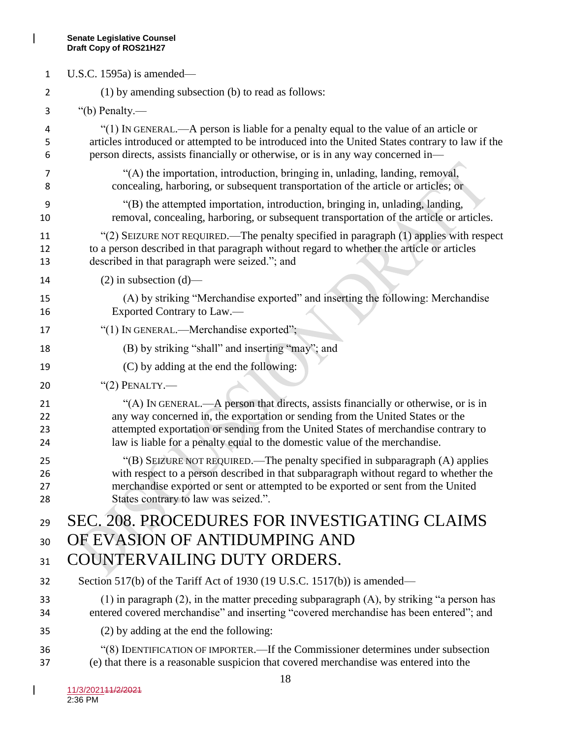$\mathsf I$ 

| $\mathbf{1}$         | U.S.C. 1595a) is amended—                                                                                                                                                                                                                                                                                                                 |
|----------------------|-------------------------------------------------------------------------------------------------------------------------------------------------------------------------------------------------------------------------------------------------------------------------------------------------------------------------------------------|
| 2                    | (1) by amending subsection (b) to read as follows:                                                                                                                                                                                                                                                                                        |
| 3                    | "(b) Penalty.—                                                                                                                                                                                                                                                                                                                            |
| 4<br>5<br>6          | "(1) IN GENERAL.—A person is liable for a penalty equal to the value of an article or<br>articles introduced or attempted to be introduced into the United States contrary to law if the<br>person directs, assists financially or otherwise, or is in any way concerned in-                                                              |
| 7<br>8               | "(A) the importation, introduction, bringing in, unlading, landing, removal,<br>concealing, harboring, or subsequent transportation of the article or articles; or                                                                                                                                                                        |
| 9<br>10              | "(B) the attempted importation, introduction, bringing in, unlading, landing,<br>removal, concealing, harboring, or subsequent transportation of the article or articles.                                                                                                                                                                 |
| 11<br>12<br>13       | "(2) SEIZURE NOT REQUIRED.—The penalty specified in paragraph (1) applies with respect<br>to a person described in that paragraph without regard to whether the article or articles<br>described in that paragraph were seized."; and                                                                                                     |
| 14                   | $(2)$ in subsection $(d)$ —                                                                                                                                                                                                                                                                                                               |
| 15<br>16             | (A) by striking "Merchandise exported" and inserting the following: Merchandise<br>Exported Contrary to Law.—                                                                                                                                                                                                                             |
| 17                   | "(1) IN GENERAL.—Merchandise exported";                                                                                                                                                                                                                                                                                                   |
| 18                   | (B) by striking "shall" and inserting "may"; and                                                                                                                                                                                                                                                                                          |
| 19                   | (C) by adding at the end the following:                                                                                                                                                                                                                                                                                                   |
| 20                   | " $(2)$ PENALTY.—                                                                                                                                                                                                                                                                                                                         |
| 21<br>22<br>23<br>24 | "(A) IN GENERAL.—A person that directs, assists financially or otherwise, or is in<br>any way concerned in, the exportation or sending from the United States or the<br>attempted exportation or sending from the United States of merchandise contrary to<br>law is liable for a penalty equal to the domestic value of the merchandise. |
| 25<br>26<br>27<br>28 | "(B) SEIZURE NOT REQUIRED.—The penalty specified in subparagraph (A) applies<br>with respect to a person described in that subparagraph without regard to whether the<br>merchandise exported or sent or attempted to be exported or sent from the United<br>States contrary to law was seized.".                                         |
| 29                   | SEC. 208. PROCEDURES FOR INVESTIGATING CLAIMS                                                                                                                                                                                                                                                                                             |
| 30                   | OF EVASION OF ANTIDUMPING AND                                                                                                                                                                                                                                                                                                             |
| 31                   | COUNTERVAILING DUTY ORDERS.                                                                                                                                                                                                                                                                                                               |
| 32                   | Section 517(b) of the Tariff Act of 1930 (19 U.S.C. 1517(b)) is amended—                                                                                                                                                                                                                                                                  |
| 33<br>34             | $(1)$ in paragraph $(2)$ , in the matter preceding subparagraph $(A)$ , by striking "a person has<br>entered covered merchandise" and inserting "covered merchandise has been entered"; and                                                                                                                                               |
| 35                   | (2) by adding at the end the following:                                                                                                                                                                                                                                                                                                   |
| 36<br>37             | "(8) IDENTIFICATION OF IMPORTER.—If the Commissioner determines under subsection<br>(e) that there is a reasonable suspicion that covered merchandise was entered into the                                                                                                                                                                |